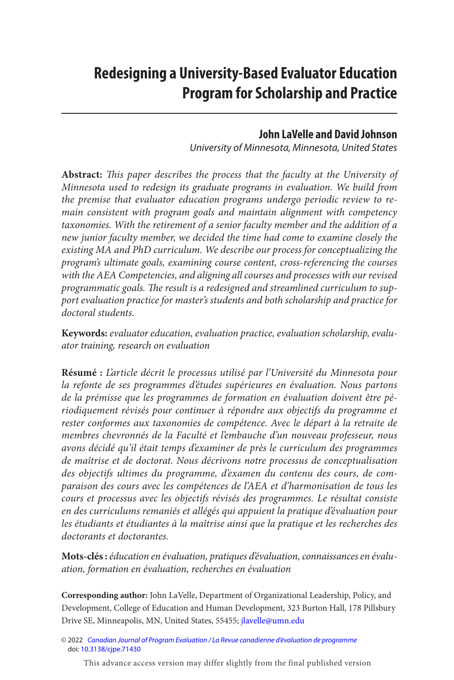# **Redesigning a University-Based Evaluator Education Program for Scholarship and Practice**

#### **John LaVelle and David Johnson**

*University of Minnesota, Minnesota, United States*

**Abstract:** *This paper describes the process that the faculty at the University of Minnesota used to redesign its graduate programs in evaluation. We build from the premise that evaluator education programs undergo periodic review to remain consistent with program goals and maintain alignment with competency taxonomies. With the retirement of a senior faculty member and the addition of a new junior faculty member, we decided the time had come to examine closely the existing MA and PhD curriculum. We describe our process for conceptualizing the program's ultimate goals, examining course content, cross-referencing the courses with the AEA Competencies, and aligning all courses and processes with our revised programmatic goals. The result is a redesigned and streamlined curriculum to support evaluation practice for master's students and both scholarship and practice for doctoral students.*

**Keywords:** *evaluator education, evaluation practice, evaluation scholarship, evaluator training, research on evaluation*

**Résumé :** *L'article décrit le processus utilisé par l'Université du Minnesota pour la refonte de ses programmes d'études supérieures en évaluation. Nous partons de la prémisse que les programmes de formation en évaluation doivent être périodiquement révisés pour continuer à répondre aux objectifs du programme et rester conformes aux taxonomies de compétence. Avec le départ à la retraite de membres chevronnés de la Faculté et l'embauche d'un nouveau professeur, nous avons décidé qu'il était temps d'examiner de près le curriculum des programmes de maîtrise et de doctorat. Nous décrivons notre processus de conceptualisation des objectifs ultimes du programme, d'examen du contenu des cours, de comparaison des cours avec les compétences de l'AEA et d'harmonisation de tous les cours et processus avec les objectifs révisés des programmes. Le résultat consiste en des curriculums remaniés et allégés qui appuient la pratique d'évaluation pour les étudiants et étudiantes à la maîtrise ainsi que la pratique et les recherches des doctorants et doctorantes.*

**Mots-clés :** *éducation en évaluation, pratiques d'évaluation, connaissances en évaluation, formation en évaluation, recherches en évaluation*

**Corresponding author:** John LaVelle, Department of Organizational Leadership, Policy, and Development, College of Education and Human Development, 323 Burton Hall, 178 Pillsbury Drive SE, Minneapolis, MN, United States, 55455; [jlavelle@umn.edu](mailto:jlavelle@umn.edu)

© 2022 *[Canadian Journal of Program Evaluation / La Revue canadienne d'évaluation de programme](https://www.utpjournals.press/loi/cjpe)* doi: [10.3138/cjpe.71430](https://doi.org/10.3138/cjpe.71430)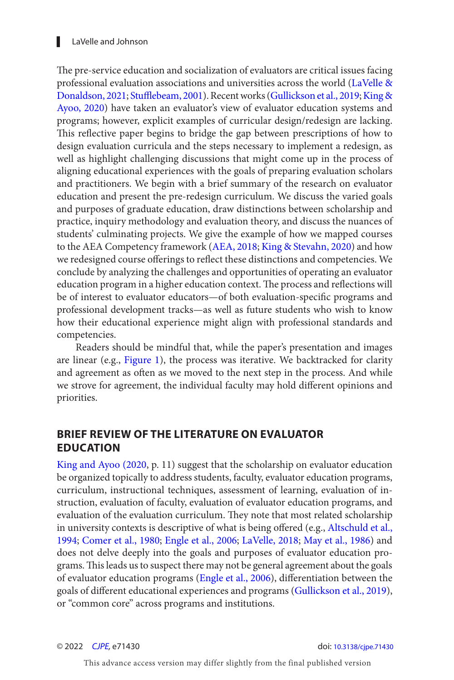#### <span id="page-1-0"></span>▌ LaVelle and Johnson

The pre-service education and socialization of evaluators are critical issues facing professional evaluation associations and universities across the world ([LaVelle &](#page-15-0) [Donaldson, 2021](#page-15-0); [Stufflebeam, 2001](#page-17-0)). Recent works ([Gullickson et al., 2019; King &](#page-15-0)  [Ayoo, 2020](#page-15-0)) have taken an evaluator's view of evaluator education systems and programs; however, explicit examples of curricular design/redesign are lacking. This reflective paper begins to bridge the gap between prescriptions of how to design evaluation curricula and the steps necessary to implement a redesign, as well as highlight challenging discussions that might come up in the process of aligning educational experiences with the goals of preparing evaluation scholars and practitioners. We begin with a brief summary of the research on evaluator education and present the pre-redesign curriculum. We discuss the varied goals and purposes of graduate education, draw distinctions between scholarship and practice, inquiry methodology and evaluation theory, and discuss the nuances of students' culminating projects. We give the example of how we mapped courses to the AEA Competency framework ([AEA, 2018](#page-13-0); [King & Stevahn, 2020](#page-15-0)) and how we redesigned course offerings to reflect these distinctions and competencies. We conclude by analyzing the challenges and opportunities of operating an evaluator education program in a higher education context. The process and reflections will be of interest to evaluator educators—of both evaluation-specific programs and professional development tracks—as well as future students who wish to know how their educational experience might align with professional standards and competencies.

Readers should be mindful that, while the paper's presentation and images are linear (e.g., [Figure 1](#page-4-0)), the process was iterative. We backtracked for clarity and agreement as often as we moved to the next step in the process. And while we strove for agreement, the individual faculty may hold different opinions and priorities.

#### **BRIEF REVIEW OF THE LITERATURE ON EVALUATOR EDUCATION**

[King and Ayoo \(2020](#page-15-0), p. 11) suggest that the scholarship on evaluator education be organized topically to address students, faculty, evaluator education programs, curriculum, instructional techniques, assessment of learning, evaluation of instruction, evaluation of faculty, evaluation of evaluator education programs, and evaluation of the evaluation curriculum. They note that most related scholarship in university contexts is descriptive of what is being offered (e.g., [Altschuld et al.,](#page-13-0) [1994](#page-13-0); [Comer et al., 1980;](#page-14-0) [Engle et al., 2006](#page-14-0); [LaVelle, 2018;](#page-15-0) [May et al., 1986](#page-16-0)) and does not delve deeply into the goals and purposes of evaluator education programs. This leads us to suspect there may not be general agreement about the goals of evaluator education programs ([Engle et al., 2006](#page-14-0)), differentiation between the goals of different educational experiences and programs ([Gullickson et al., 2019](#page-15-0)), or "common core" across programs and institutions.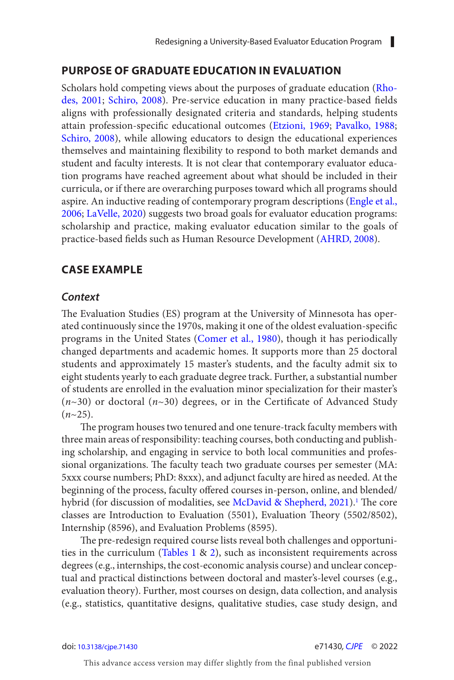#### <span id="page-2-0"></span>**PURPOSE OF GRADUATE EDUCATION IN EVALUATION**

Scholars hold competing views about the purposes of graduate education ([Rho](#page-16-0)[des, 2001](#page-16-0); [Schiro, 2008](#page-16-0)). Pre-service education in many practice-based fields aligns with professionally designated criteria and standards, helping students attain profession-specific educational outcomes ([Etzioni, 1969](#page-14-0); [Pavalko, 1988](#page-16-0); [Schiro, 2008](#page-16-0)), while allowing educators to design the educational experiences themselves and maintaining flexibility to respond to both market demands and student and faculty interests. It is not clear that contemporary evaluator education programs have reached agreement about what should be included in their curricula, or if there are overarching purposes toward which all programs should aspire. An inductive reading of contemporary program descriptions ([Engle et al.,](#page-14-0) [2006](#page-14-0); [LaVelle, 2020](#page-15-0)) suggests two broad goals for evaluator education programs: scholarship and practice, making evaluator education similar to the goals of practice-based fields such as Human Resource Development ([AHRD, 2008\)](#page-13-0).

#### **CASE EXAMPLE**

#### *Context*

The Evaluation Studies (ES) program at the University of Minnesota has operated continuously since the 1970s, making it one of the oldest evaluation-specific programs in the United States ([Comer et al., 1980](#page-14-0)), though it has periodically changed departments and academic homes. It supports more than 25 doctoral students and approximately 15 master's students, and the faculty admit six to eight students yearly to each graduate degree track. Further, a substantial number of students are enrolled in the evaluation minor specialization for their master's (*n*~30) or doctoral (*n*~30) degrees, or in the Certificate of Advanced Study  $(n \sim 25)$ .

The program houses two tenured and one tenure-track faculty members with three main areas of responsibility: teaching courses, both conducting and publishing scholarship, and engaging in service to both local communities and professional organizations. The faculty teach two graduate courses per semester (MA: 5xxx course numbers; PhD: 8xxx), and adjunct faculty are hired as needed. At the beginning of the process, faculty offered courses in-person, online, and blended/ hybrid (for discussion of modalities, see [McDavid & Shepherd, 2021](#page-16-0)).<sup>1</sup> The core classes are Introduction to Evaluation (5501), Evaluation Theory (5502/8502), Internship (8596), and Evaluation Problems (8595).

The pre-redesign required course lists reveal both challenges and opportunities in the curriculum (Tables  $1 \& 2$ ), such as inconsistent requirements across degrees (e.g., internships, the cost-economic analysis course) and unclear conceptual and practical distinctions between doctoral and master's-level courses (e.g., evaluation theory). Further, most courses on design, data collection, and analysis (e.g., statistics, quantitative designs, qualitative studies, case study design, and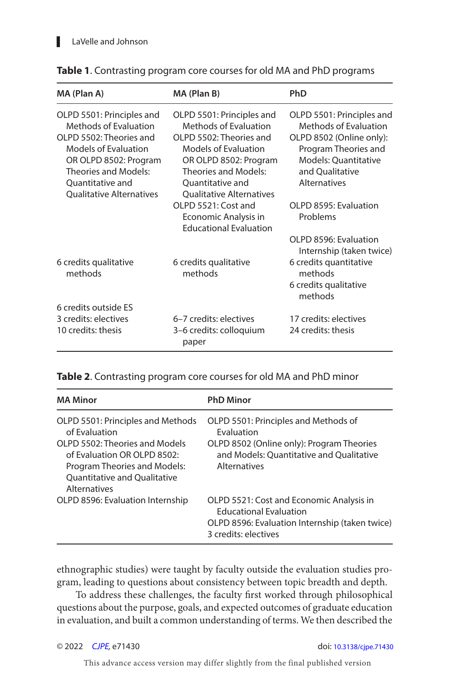| MA (Plan A)                                                                                                                                                                              | MA (Plan B)                                                                                                                                                                              | <b>PhD</b>                                                                                                                                                        |
|------------------------------------------------------------------------------------------------------------------------------------------------------------------------------------------|------------------------------------------------------------------------------------------------------------------------------------------------------------------------------------------|-------------------------------------------------------------------------------------------------------------------------------------------------------------------|
| OLPD 5501: Principles and<br>Methods of Evaluation<br>OLPD 5502: Theories and<br><b>Models of Evaluation</b><br>OR OLPD 8502: Program<br><b>Theories and Models:</b><br>Ouantitative and | OLPD 5501: Principles and<br>Methods of Evaluation<br>OLPD 5502: Theories and<br><b>Models of Evaluation</b><br>OR OLPD 8502: Program<br><b>Theories and Models:</b><br>Ouantitative and | OLPD 5501: Principles and<br>Methods of Evaluation<br>OLPD 8502 (Online only):<br>Program Theories and<br>Models: Ouantitative<br>and Qualitative<br>Alternatives |
| <b>Oualitative Alternatives</b>                                                                                                                                                          | <b>Oualitative Alternatives</b><br>$O$ PD 5521: Cost and<br>Economic Analysis in<br><b>Educational Evaluation</b>                                                                        | OLPD 8595: Evaluation<br>Problems                                                                                                                                 |
|                                                                                                                                                                                          |                                                                                                                                                                                          | OLPD 8596: Evaluation<br>Internship (taken twice)                                                                                                                 |
| 6 credits qualitative<br>methods                                                                                                                                                         | 6 credits qualitative<br>methods                                                                                                                                                         | 6 credits quantitative<br>methods<br>6 credits qualitative<br>methods                                                                                             |
| 6 credits outside ES                                                                                                                                                                     |                                                                                                                                                                                          |                                                                                                                                                                   |
| 3 credits: electives<br>10 credits: thesis                                                                                                                                               | 6-7 credits: electives<br>3–6 credits: colloquium<br>paper                                                                                                                               | 17 credits: electives<br>24 credits: thesis                                                                                                                       |

#### <span id="page-3-0"></span>**Table 1**. Contrasting program core courses for old MA and PhD programs

#### **Table 2**. Contrasting program core courses for old MA and PhD minor

| <b>MA Minor</b>                                                                                                                                                                                     | <b>PhD Minor</b>                                                                                                                                                   |
|-----------------------------------------------------------------------------------------------------------------------------------------------------------------------------------------------------|--------------------------------------------------------------------------------------------------------------------------------------------------------------------|
| OLPD 5501: Principles and Methods<br>of Evaluation<br>OLPD 5502: Theories and Models<br>of Evaluation OR OLPD 8502:<br>Program Theories and Models:<br>Quantitative and Qualitative<br>Alternatives | OLPD 5501: Principles and Methods of<br><b>Fyaluation</b><br>OLPD 8502 (Online only): Program Theories<br>and Models: Quantitative and Qualitative<br>Alternatives |
| OLPD 8596: Evaluation Internship                                                                                                                                                                    | OLPD 5521: Cost and Economic Analysis in<br><b>Educational Evaluation</b><br>OLPD 8596: Evaluation Internship (taken twice)<br>3 credits: electives                |

ethnographic studies) were taught by faculty outside the evaluation studies program, leading to questions about consistency between topic breadth and depth.

To address these challenges, the faculty first worked through philosophical questions about the purpose, goals, and expected outcomes of graduate education in evaluation, and built a common understanding of terms. We then described the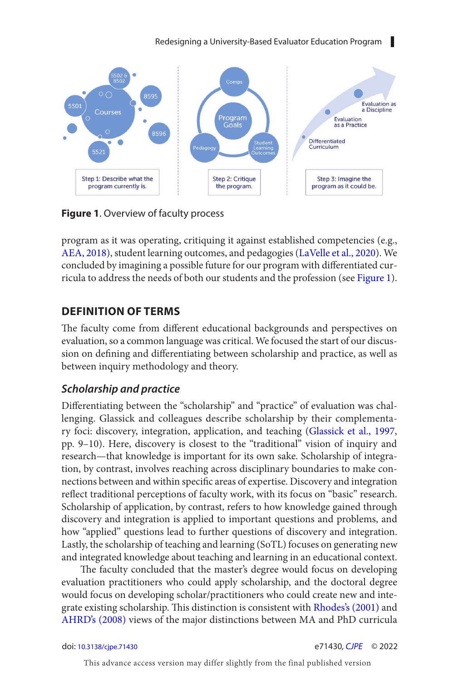Redesigning a University-Based Evaluator Education Program

<span id="page-4-0"></span>

**Figure 1**. Overview of faculty process

program as it was operating, critiquing it against established competencies (e.g., [AEA, 2018](#page-13-0)), student learning outcomes, and pedagogies ([LaVelle et al., 2020](#page-15-0)). We concluded by imagining a possible future for our program with differentiated curricula to address the needs of both our students and the profession (see Figure 1).

### **DEFINITION OF TERMS**

The faculty come from different educational backgrounds and perspectives on evaluation, so a common language was critical. We focused the start of our discussion on defining and differentiating between scholarship and practice, as well as between inquiry methodology and theory.

### *Scholarship and practice*

Differentiating between the "scholarship" and "practice" of evaluation was challenging. Glassick and colleagues describe scholarship by their complementary foci: discovery, integration, application, and teaching [\(Glassick et al., 1997](#page-14-0), pp. 9–10). Here, discovery is closest to the "traditional" vision of inquiry and research—that knowledge is important for its own sake. Scholarship of integration, by contrast, involves reaching across disciplinary boundaries to make connections between and within specific areas of expertise. Discovery and integration reflect traditional perceptions of faculty work, with its focus on "basic" research. Scholarship of application, by contrast, refers to how knowledge gained through discovery and integration is applied to important questions and problems, and how "applied" questions lead to further questions of discovery and integration. Lastly, the scholarship of teaching and learning (SoTL) focuses on generating new and integrated knowledge about teaching and learning in an educational context.

The faculty concluded that the master's degree would focus on developing evaluation practitioners who could apply scholarship, and the doctoral degree would focus on developing scholar/practitioners who could create new and inte-grate existing scholarship. This distinction is consistent with [Rhodes's \(2001\)](#page-16-0) and [AHRD's \(2008\)](#page-13-0) views of the major distinctions between MA and PhD curricula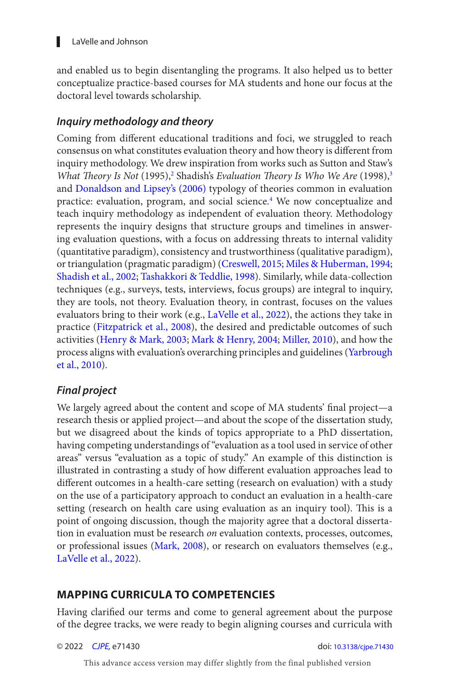<span id="page-5-0"></span>and enabled us to begin disentangling the programs. It also helped us to better conceptualize practice-based courses for MA students and hone our focus at the doctoral level towards scholarship.

### *Inquiry methodology and theory*

Coming from different educational traditions and foci, we struggled to reach consensus on what constitutes evaluation theory and how theory is different from inquiry methodology. We drew inspiration from works such as Sutton and Staw's *What Theory Is Not* (1995),<sup>2</sup> Shadish's *Evaluation Theory Is Who We Are* (1998),<sup>3</sup> and [Donaldson and Lipsey's \(2006\)](#page-14-0) typology of theories common in evaluation practice: evaluation, program, and social science.<sup>4</sup> We now conceptualize and teach inquiry methodology as independent of evaluation theory. Methodology represents the inquiry designs that structure groups and timelines in answering evaluation questions, with a focus on addressing threats to internal validity (quantitative paradigm), consistency and trustworthiness (qualitative paradigm), or triangulation (pragmatic paradigm) ([Creswell, 2015](#page-14-0); [Miles & Huberman, 1994](#page-16-0); [Shadish et al., 2002](#page-16-0); [Tashakkori & Teddlie, 1998](#page-17-0)). Similarly, while data-collection techniques (e.g., surveys, tests, interviews, focus groups) are integral to inquiry, they are tools, not theory. Evaluation theory, in contrast, focuses on the values evaluators bring to their work (e.g., [LaVelle et al., 2022](#page-15-0)), the actions they take in practice ([Fitzpatrick et al., 2008](#page-14-0)), the desired and predictable outcomes of such activities [\(Henry & Mark, 2003](#page-15-0); [Mark & Henry, 2004](#page-15-0); [Miller, 2010](#page-16-0)), and how the process aligns with evaluation's overarching principles and guidelines ([Yarbrough](#page-17-0) [et al., 2010](#page-17-0)).

### *Final project*

We largely agreed about the content and scope of MA students' final project—a research thesis or applied project—and about the scope of the dissertation study, but we disagreed about the kinds of topics appropriate to a PhD dissertation, having competing understandings of "evaluation as a tool used in service of other areas" versus "evaluation as a topic of study." An example of this distinction is illustrated in contrasting a study of how different evaluation approaches lead to different outcomes in a health-care setting (research on evaluation) with a study on the use of a participatory approach to conduct an evaluation in a health-care setting (research on health care using evaluation as an inquiry tool). This is a point of ongoing discussion, though the majority agree that a doctoral dissertation in evaluation must be research *on* evaluation contexts, processes, outcomes, or professional issues ([Mark, 2008](#page-15-0)), or research on evaluators themselves (e.g., [LaVelle et al., 2022](#page-15-0)).

### **MAPPING CURRICULA TO COMPETENCIES**

Having clarified our terms and come to general agreement about the purpose of the degree tracks, we were ready to begin aligning courses and curricula with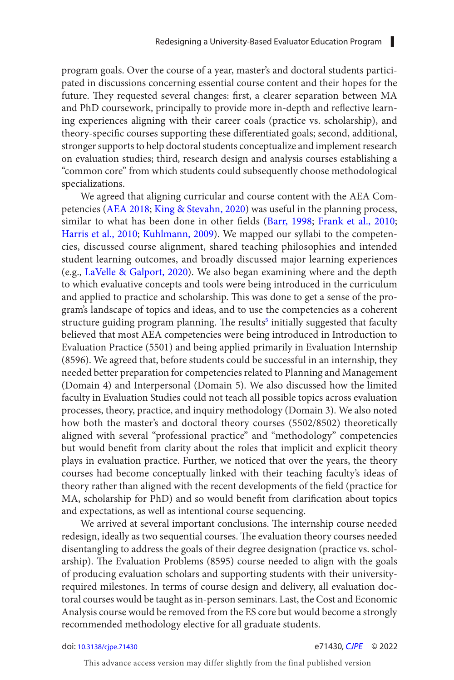<span id="page-6-0"></span>program goals. Over the course of a year, master's and doctoral students participated in discussions concerning essential course content and their hopes for the future. They requested several changes: first, a clearer separation between MA and PhD coursework, principally to provide more in-depth and reflective learning experiences aligning with their career coals (practice vs. scholarship), and theory-specific courses supporting these differentiated goals; second, additional, stronger supports to help doctoral students conceptualize and implement research on evaluation studies; third, research design and analysis courses establishing a "common core" from which students could subsequently choose methodological specializations.

We agreed that aligning curricular and course content with the AEA Competencies ([AEA 2018](#page-13-0); [King & Stevahn, 2020](#page-15-0)) was useful in the planning process, similar to what has been done in other fields ([Barr, 1998](#page-13-0); [Frank et al., 2010;](#page-14-0) [Harris et al., 2010](#page-15-0); [Kuhlmann, 2009](#page-15-0)). We mapped our syllabi to the competencies, discussed course alignment, shared teaching philosophies and intended student learning outcomes, and broadly discussed major learning experiences (e.g., [LaVelle & Galport, 2020](#page-15-0)). We also began examining where and the depth to which evaluative concepts and tools were being introduced in the curriculum and applied to practice and scholarship. This was done to get a sense of the program's landscape of topics and ideas, and to use the competencies as a coherent structure guiding program planning. The results<sup>[5](#page-13-0)</sup> initially suggested that faculty believed that most AEA competencies were being introduced in Introduction to Evaluation Practice (5501) and being applied primarily in Evaluation Internship (8596). We agreed that, before students could be successful in an internship, they needed better preparation for competencies related to Planning and Management (Domain 4) and Interpersonal (Domain 5). We also discussed how the limited faculty in Evaluation Studies could not teach all possible topics across evaluation processes, theory, practice, and inquiry methodology (Domain 3). We also noted how both the master's and doctoral theory courses (5502/8502) theoretically aligned with several "professional practice" and "methodology" competencies but would benefit from clarity about the roles that implicit and explicit theory plays in evaluation practice. Further, we noticed that over the years, the theory courses had become conceptually linked with their teaching faculty's ideas of theory rather than aligned with the recent developments of the field (practice for MA, scholarship for PhD) and so would benefit from clarification about topics and expectations, as well as intentional course sequencing.

We arrived at several important conclusions. The internship course needed redesign, ideally as two sequential courses. The evaluation theory courses needed disentangling to address the goals of their degree designation (practice vs. scholarship). The Evaluation Problems (8595) course needed to align with the goals of producing evaluation scholars and supporting students with their universityrequired milestones. In terms of course design and delivery, all evaluation doctoral courses would be taught as in-person seminars. Last, the Cost and Economic Analysis course would be removed from the ES core but would become a strongly recommended methodology elective for all graduate students.

#### doi: [10.3138/cjpe.71430](https://doi.org/10.3138/cjpe.71430) e71430*, [CJPE](https://www.utpjournals.press/loi/cjpe)* © 2022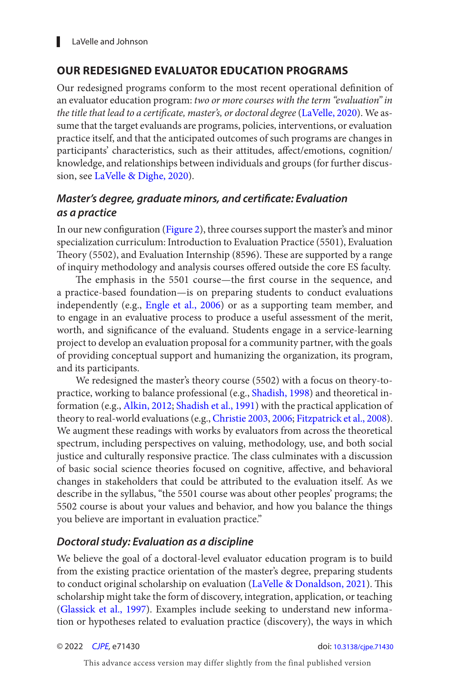## <span id="page-7-0"></span>**OUR REDESIGNED EVALUATOR EDUCATION PROGRAMS**

Our redesigned programs conform to the most recent operational definition of an evaluator education program: *two or more courses with the term "evaluation" in the title that lead to a certificate, master's, or doctoral degree* ([LaVelle, 2020](#page-15-0)). We assume that the target evaluands are programs, policies, interventions, or evaluation practice itself, and that the anticipated outcomes of such programs are changes in participants' characteristics, such as their attitudes, affect/emotions, cognition/ knowledge, and relationships between individuals and groups (for further discussion, see [LaVelle & Dighe, 2020](#page-15-0)).

## *Master's degree, graduate minors, and certificate: Evaluation as a practice*

In our new configuration ([Figure 2](#page-8-0)), three courses support the master's and minor specialization curriculum: Introduction to Evaluation Practice (5501), Evaluation Theory (5502), and Evaluation Internship (8596). These are supported by a range of inquiry methodology and analysis courses offered outside the core ES faculty.

The emphasis in the 5501 course—the first course in the sequence, and a practice-based foundation—is on preparing students to conduct evaluations independently (e.g., [Engle et al., 2006](#page-14-0)) or as a supporting team member, and to engage in an evaluative process to produce a useful assessment of the merit, worth, and significance of the evaluand. Students engage in a service-learning project to develop an evaluation proposal for a community partner, with the goals of providing conceptual support and humanizing the organization, its program, and its participants.

We redesigned the master's theory course (5502) with a focus on theory-topractice, working to balance professional (e.g., [Shadish, 1998](#page-16-0)) and theoretical information (e.g., [Alkin, 2012](#page-13-0); [Shadish et al., 1991](#page-17-0)) with the practical application of theory to real-world evaluations (e.g., [Christie 2003](#page-14-0), [2006](#page-14-0); [Fitzpatrick et al., 2008](#page-14-0)). We augment these readings with works by evaluators from across the theoretical spectrum, including perspectives on valuing, methodology, use, and both social justice and culturally responsive practice. The class culminates with a discussion of basic social science theories focused on cognitive, affective, and behavioral changes in stakeholders that could be attributed to the evaluation itself. As we describe in the syllabus, "the 5501 course was about other peoples' programs; the 5502 course is about your values and behavior, and how you balance the things you believe are important in evaluation practice."

#### *Doctoral study: Evaluation as a discipline*

We believe the goal of a doctoral-level evaluator education program is to build from the existing practice orientation of the master's degree, preparing students to conduct original scholarship on evaluation ([LaVelle & Donaldson, 2021\)](#page-15-0). This scholarship might take the form of discovery, integration, application, or teaching ([Glassick et al., 1997](#page-14-0)). Examples include seeking to understand new information or hypotheses related to evaluation practice (discovery), the ways in which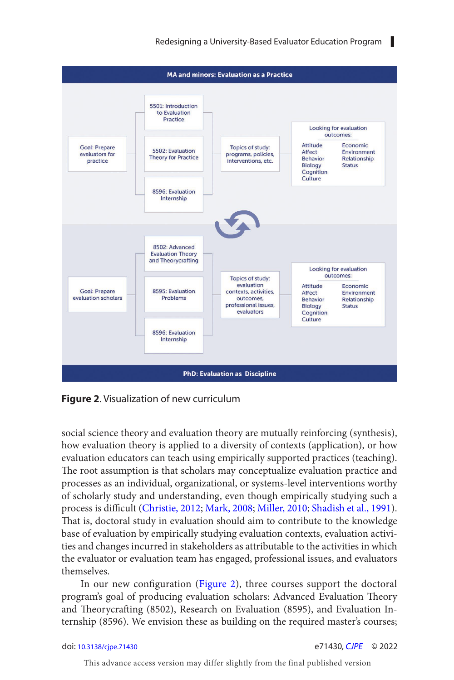<span id="page-8-0"></span>

**Figure 2**. Visualization of new curriculum

social science theory and evaluation theory are mutually reinforcing (synthesis), how evaluation theory is applied to a diversity of contexts (application), or how evaluation educators can teach using empirically supported practices (teaching). The root assumption is that scholars may conceptualize evaluation practice and processes as an individual, organizational, or systems-level interventions worthy of scholarly study and understanding, even though empirically studying such a process is difficult ([Christie, 2012](#page-14-0); [Mark, 2008](#page-15-0); [Miller, 2010](#page-16-0); [Shadish et al., 1991](#page-17-0)). That is, doctoral study in evaluation should aim to contribute to the knowledge base of evaluation by empirically studying evaluation contexts, evaluation activities and changes incurred in stakeholders as attributable to the activities in which the evaluator or evaluation team has engaged, professional issues, and evaluators themselves.

In our new configuration (Figure 2), three courses support the doctoral program's goal of producing evaluation scholars: Advanced Evaluation Theory and Theorycrafting (8502), Research on Evaluation (8595), and Evaluation Internship (8596). We envision these as building on the required master's courses;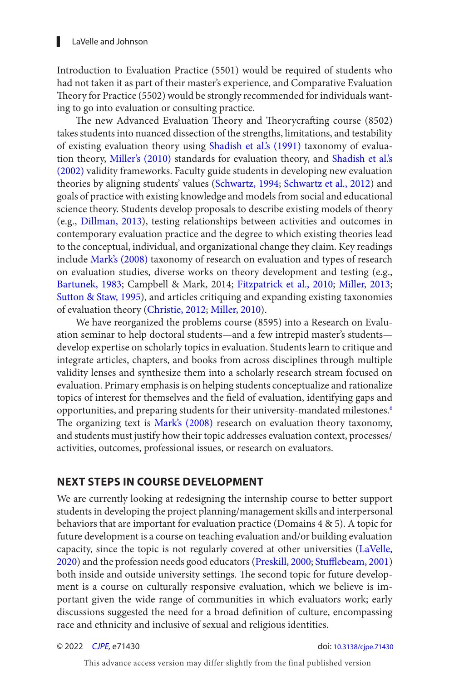<span id="page-9-0"></span>Introduction to Evaluation Practice (5501) would be required of students who had not taken it as part of their master's experience, and Comparative Evaluation Theory for Practice (5502) would be strongly recommended for individuals wanting to go into evaluation or consulting practice.

The new Advanced Evaluation Theory and Theorycrafting course (8502) takes students into nuanced dissection of the strengths, limitations, and testability of existing evaluation theory using [Shadish et al.'s \(1991\)](#page-17-0) taxonomy of evaluation theory, [Miller's \(2010\)](#page-16-0) standards for evaluation theory, and [Shadish et al.'s](#page-16-0)  [\(2002\)](#page-16-0) validity frameworks. Faculty guide students in developing new evaluation theories by aligning students' values ([Schwartz, 1994](#page-16-0); [Schwartz et al., 2012](#page-16-0)) and goals of practice with existing knowledge and models from social and educational science theory. Students develop proposals to describe existing models of theory (e.g., [Dillman, 2013](#page-14-0)), testing relationships between activities and outcomes in contemporary evaluation practice and the degree to which existing theories lead to the conceptual, individual, and organizational change they claim. Key readings include [Mark's \(2008\)](#page-15-0) taxonomy of research on evaluation and types of research on evaluation studies, diverse works on theory development and testing (e.g., [Bartunek, 1983](#page-13-0); Campbell & Mark, 2014; [Fitzpatrick et al., 2010](#page-14-0); [Miller, 2013](#page-16-0); [Sutton & Staw, 1995\)](#page-17-0), and articles critiquing and expanding existing taxonomies of evaluation theory [\(Christie, 2012](#page-14-0); [Miller, 2010](#page-16-0)).

We have reorganized the problems course (8595) into a Research on Evaluation seminar to help doctoral students—and a few intrepid master's students develop expertise on scholarly topics in evaluation. Students learn to critique and integrate articles, chapters, and books from across disciplines through multiple validity lenses and synthesize them into a scholarly research stream focused on evaluation. Primary emphasis is on helping students conceptualize and rationalize topics of interest for themselves and the field of evaluation, identifying gaps and opportunities, and preparing students for their university-mandated milestones.<sup>6</sup> The organizing text is [Mark's \(2008\)](#page-15-0) research on evaluation theory taxonomy, and students must justify how their topic addresses evaluation context, processes/ activities, outcomes, professional issues, or research on evaluators.

#### **NEXT STEPS IN COURSE DEVELOPMENT**

We are currently looking at redesigning the internship course to better support students in developing the project planning/management skills and interpersonal behaviors that are important for evaluation practice (Domains 4 & 5). A topic for future development is a course on teaching evaluation and/or building evaluation capacity, since the topic is not regularly covered at other universities ([LaVelle,](#page-15-0) [2020](#page-15-0)) and the profession needs good educators ([Preskill, 2000](#page-16-0); [Stufflebeam, 2001](#page-17-0)) both inside and outside university settings. The second topic for future development is a course on culturally responsive evaluation, which we believe is important given the wide range of communities in which evaluators work; early discussions suggested the need for a broad definition of culture, encompassing race and ethnicity and inclusive of sexual and religious identities.

© 2022 *[CJPE](https://www.utpjournals.press/loi/cjpe),* e71430 doi: [10.3138/cjpe.71430](https://doi.org/10.3138/cjpe.71430)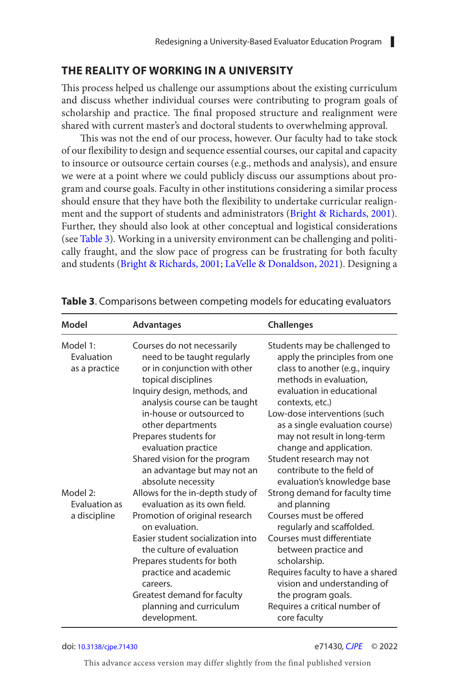#### <span id="page-10-0"></span>**THE REALITY OF WORKING IN A UNIVERSITY**

This process helped us challenge our assumptions about the existing curriculum and discuss whether individual courses were contributing to program goals of scholarship and practice. The final proposed structure and realignment were shared with current master's and doctoral students to overwhelming approval.

This was not the end of our process, however. Our faculty had to take stock of our flexibility to design and sequence essential courses, our capital and capacity to insource or outsource certain courses (e.g., methods and analysis), and ensure we were at a point where we could publicly discuss our assumptions about program and course goals. Faculty in other institutions considering a similar process should ensure that they have both the flexibility to undertake curricular realignment and the support of students and administrators ([Bright & Richards, 2001](#page-14-0)). Further, they should also look at other conceptual and logistical considerations (see Table 3). Working in a university environment can be challenging and politically fraught, and the slow pace of progress can be frustrating for both faculty and students ([Bright & Richards, 2001](#page-14-0); [LaVelle & Donaldson, 2021\)](#page-15-0). Designing a

| Model                                   | <b>Advantages</b>                                                                                                                                                                                                                                            | <b>Challenges</b>                                                                                                                                                                                                                                                            |
|-----------------------------------------|--------------------------------------------------------------------------------------------------------------------------------------------------------------------------------------------------------------------------------------------------------------|------------------------------------------------------------------------------------------------------------------------------------------------------------------------------------------------------------------------------------------------------------------------------|
| Model 1:<br>Evaluation<br>as a practice | Courses do not necessarily<br>need to be taught regularly<br>or in conjunction with other<br>topical disciplines<br>Inquiry design, methods, and<br>analysis course can be taught<br>in-house or outsourced to<br>other departments<br>Prepares students for | Students may be challenged to<br>apply the principles from one<br>class to another (e.g., inquiry<br>methods in evaluation,<br>evaluation in educational<br>contexts, etc.)<br>Low-dose interventions (such<br>as a single evaluation course)<br>may not result in long-term |
|                                         | evaluation practice<br>Shared vision for the program<br>an advantage but may not an<br>absolute necessity                                                                                                                                                    | change and application.<br>Student research may not<br>contribute to the field of<br>evaluation's knowledge base                                                                                                                                                             |
| Model 2:<br>Evaluation as               | Allows for the in-depth study of<br>evaluation as its own field.                                                                                                                                                                                             | Strong demand for faculty time<br>and planning                                                                                                                                                                                                                               |
| a discipline                            | Promotion of original research<br>on evaluation.<br>Easier student socialization into<br>the culture of evaluation                                                                                                                                           | Courses must be offered<br>regularly and scaffolded.<br>Courses must differentiate<br>between practice and                                                                                                                                                                   |
|                                         | Prepares students for both<br>practice and academic<br>careers.<br>Greatest demand for faculty<br>planning and curriculum<br>development.                                                                                                                    | scholarship.<br>Requires faculty to have a shared<br>vision and understanding of<br>the program goals.<br>Requires a critical number of<br>core faculty                                                                                                                      |

**Table 3**. Comparisons between competing models for educating evaluators

#### doi: [10.3138/cjpe.71430](https://doi.org/10.3138/cjpe.71430) e71430*, [CJPE](https://www.utpjournals.press/loi/cjpe)* © 2022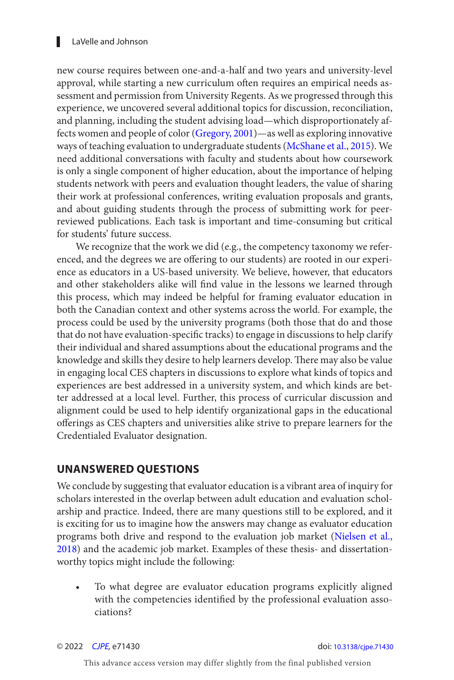#### <span id="page-11-0"></span>▌ LaVelle and Johnson

new course requires between one-and-a-half and two years and university-level approval, while starting a new curriculum often requires an empirical needs assessment and permission from University Regents. As we progressed through this experience, we uncovered several additional topics for discussion, reconciliation, and planning, including the student advising load—which disproportionately affects women and people of color ([Gregory, 2001](#page-14-0))—as well as exploring innovative ways of teaching evaluation to undergraduate students ([McShane et al., 2015](#page-16-0)). We need additional conversations with faculty and students about how coursework is only a single component of higher education, about the importance of helping students network with peers and evaluation thought leaders, the value of sharing their work at professional conferences, writing evaluation proposals and grants, and about guiding students through the process of submitting work for peerreviewed publications. Each task is important and time-consuming but critical for students' future success.

We recognize that the work we did (e.g., the competency taxonomy we referenced, and the degrees we are offering to our students) are rooted in our experience as educators in a US-based university. We believe, however, that educators and other stakeholders alike will find value in the lessons we learned through this process, which may indeed be helpful for framing evaluator education in both the Canadian context and other systems across the world. For example, the process could be used by the university programs (both those that do and those that do not have evaluation-specific tracks) to engage in discussions to help clarify their individual and shared assumptions about the educational programs and the knowledge and skills they desire to help learners develop. There may also be value in engaging local CES chapters in discussions to explore what kinds of topics and experiences are best addressed in a university system, and which kinds are better addressed at a local level. Further, this process of curricular discussion and alignment could be used to help identify organizational gaps in the educational offerings as CES chapters and universities alike strive to prepare learners for the Credentialed Evaluator designation.

#### **UNANSWERED QUESTIONS**

We conclude by suggesting that evaluator education is a vibrant area of inquiry for scholars interested in the overlap between adult education and evaluation scholarship and practice. Indeed, there are many questions still to be explored, and it is exciting for us to imagine how the answers may change as evaluator education programs both drive and respond to the evaluation job market [\(Nielsen et al.,](#page-16-0) [2018](#page-16-0)) and the academic job market. Examples of these thesis- and dissertationworthy topics might include the following:

To what degree are evaluator education programs explicitly aligned with the competencies identified by the professional evaluation associations?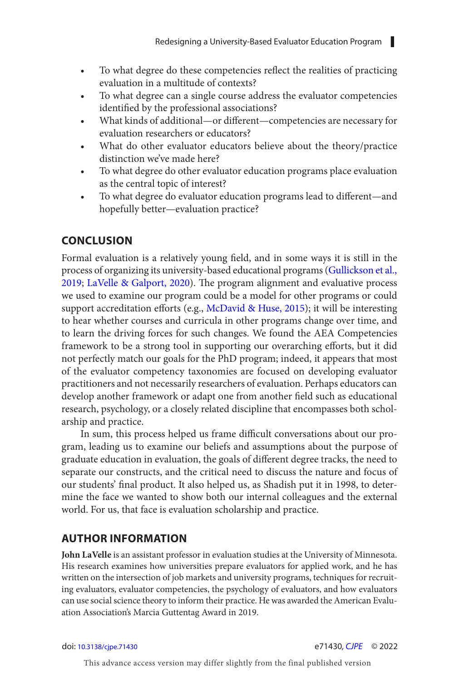- <span id="page-12-0"></span>• To what degree do these competencies reflect the realities of practicing evaluation in a multitude of contexts?
- To what degree can a single course address the evaluator competencies identified by the professional associations?
- What kinds of additional—or different—competencies are necessary for evaluation researchers or educators?
- What do other evaluator educators believe about the theory/practice distinction we've made here?
- To what degree do other evaluator education programs place evaluation as the central topic of interest?
- To what degree do evaluator education programs lead to different—and hopefully better—evaluation practice?

## **CONCLUSION**

Formal evaluation is a relatively young field, and in some ways it is still in the process of organizing its university-based educational programs ([Gullickson et al.,](#page-15-0) [2019](#page-15-0); [LaVelle & Galport, 2020](#page-15-0)). The program alignment and evaluative process we used to examine our program could be a model for other programs or could support accreditation efforts (e.g., [McDavid & Huse, 2015](#page-16-0)); it will be interesting to hear whether courses and curricula in other programs change over time, and to learn the driving forces for such changes. We found the AEA Competencies framework to be a strong tool in supporting our overarching efforts, but it did not perfectly match our goals for the PhD program; indeed, it appears that most of the evaluator competency taxonomies are focused on developing evaluator practitioners and not necessarily researchers of evaluation. Perhaps educators can develop another framework or adapt one from another field such as educational research, psychology, or a closely related discipline that encompasses both scholarship and practice.

In sum, this process helped us frame difficult conversations about our program, leading us to examine our beliefs and assumptions about the purpose of graduate education in evaluation, the goals of different degree tracks, the need to separate our constructs, and the critical need to discuss the nature and focus of our students' final product. It also helped us, as Shadish put it in 1998, to determine the face we wanted to show both our internal colleagues and the external world. For us, that face is evaluation scholarship and practice.

### **AUTHOR INFORMATION**

**John LaVelle** is an assistant professor in evaluation studies at the University of Minnesota. His research examines how universities prepare evaluators for applied work, and he has written on the intersection of job markets and university programs, techniques for recruiting evaluators, evaluator competencies, the psychology of evaluators, and how evaluators can use social science theory to inform their practice. He was awarded the American Evaluation Association's Marcia Guttentag Award in 2019.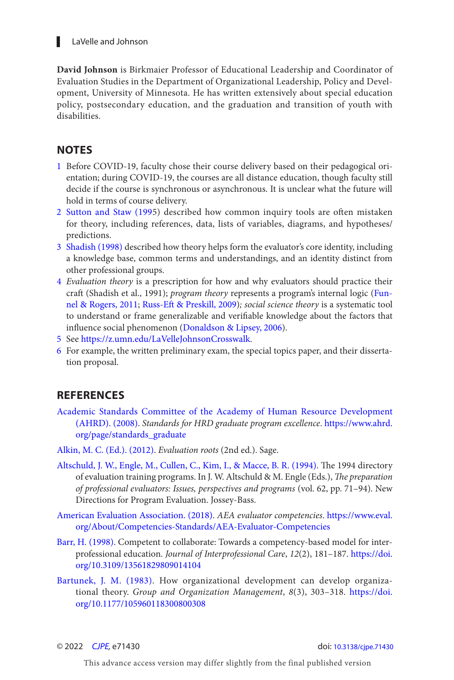#### <span id="page-13-0"></span>■ LaVelle and Johnson

**David Johnson** is Birkmaier Professor of Educational Leadership and Coordinator of Evaluation Studies in the Department of Organizational Leadership, Policy and Development, University of Minnesota. He has written extensively about special education policy, postsecondary education, and the graduation and transition of youth with disabilities.

#### **NOTES**

- [1](#page-2-0) Before COVID-19, faculty chose their course delivery based on their pedagogical orientation; during COVID-19, the courses are all distance education, though faculty still decide if the course is synchronous or asynchronous. It is unclear what the future will hold in terms of course delivery.
- 2 [Sutton and Staw \(199](#page-17-0)5) described how common inquiry tools are often mistaken for theory, including references, data, lists of variables, diagrams, and hypotheses/ predictions.
- 3 Shadish (1998) described how theory helps form the evaluator's core identity, including a knowledge base, common terms and understandings, and an identity distinct from other professional groups.
- [4](#page-5-0) *Evaluation theory* is a prescription for how and why evaluators should practice their craft (Shadish et al., 1991); *program theory* represents a program's internal logic (Fun[nel & Rogers, 2011](#page-14-0); [Russ-Eft & Preskill, 2009](#page-16-0)); social science theory is a systematic tool to understand or frame generalizable and verifiable knowledge about the factors that influence social phenomenon (Donaldson & Lipsey, 2006).
- [5](#page-6-0) See<https://z.umn.edu/LaVelleJohnsonCrosswalk> .
- [6](#page-9-0) For example, the written preliminary exam, the special topics paper, and their dissertation proposal.

#### **REFERENCES**

- [Academic Standards Committee of the Academy of Human Resource Development](#page-2-0) [\(AHRD\). \( 2008 \)](#page-2-0). *Standards for HRD graduate program excellence* . [https://www.ahrd.](https://www.ahrd.org/page/standards_graduate) [org/page/standards\\_graduate](https://www.ahrd.org/page/standards_graduate)
- Alkin, M. C. (Ed.). (2012). *Evaluation roots* (2nd ed.). Sage.
- Altschuld, J. W., Engle, M., Cullen, C., Kim, I., & Macce, B. R. (1994). The 1994 directory of evaluation training programs. In J. W. Altschuld & M. Engle (Eds.), *The preparation* of professional evaluators: Issues, perspectives and programs (vol. 62, pp. 71-94). New Directions for Program Evaluation. Jossey-Bass.
- [American Evaluation Association . \( 2018 \)](#page-1-0). *AEA evaluator competencies* . [https://www.eval.](https://www.eval.org/About/Competencies-Standards/AEA-Evaluator-Competencies) [org/About/Competencies-Standards/AEA-Evaluator-Competencies](https://www.eval.org/About/Competencies-Standards/AEA-Evaluator-Competencies)
- Barr, H. (1998). Competent to collaborate: Towards a competency-based model for interprofessional education. *Journal of Interprofessional Care*, 12(2), 181-187. [https://doi.](https://doi.org/10.3109/13561829809014104) [org/10.3109/13561829809014104](https://doi.org/10.3109/13561829809014104)
- Bartunek, J. M. (1983). How organizational development can develop organizational theory. *Group and Organization Management*, 8(3), 303-318. [https://doi.](https://doi.org/10.1177/105960118300800308) [org/10.1177/105960118300800308](https://doi.org/10.1177/105960118300800308)

© 2022 [CJPE](https://www.utpjournals.press/loi/cjpe), e71430 doi: [10.3138/cjpe.71430](https://doi.org/10.3138/cjpe.71430)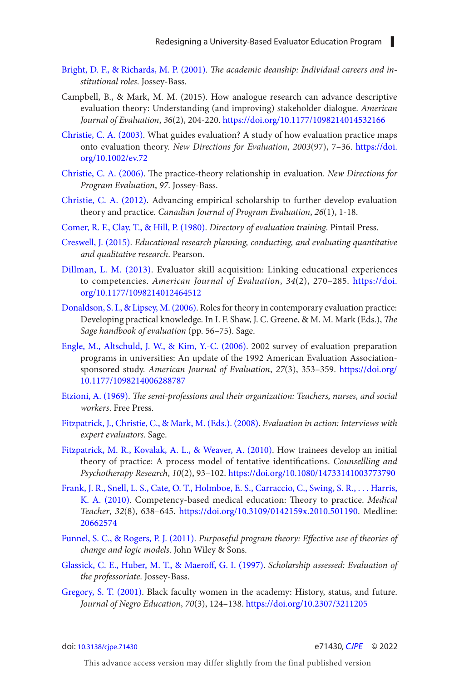- <span id="page-14-0"></span>[Bright, D. F., & Richards, M. P. \(2001\)](#page-10-0). *The academic deanship: Individual careers and institutional roles*. Jossey-Bass.
- Campbell, B., & Mark, M. M. (2015). How analogue research can advance descriptive evaluation theory: Understanding (and improving) stakeholder dialogue. *American Journal of Evaluation*, *36*(2), 204-220. <https://doi.org/10.1177/1098214014532166>
- [Christie, C. A. \(2003\).](#page-7-0) What guides evaluation? A study of how evaluation practice maps onto evaluation theory. *New Directions for Evaluation*, *2003*(97), 7–36. [https://doi.](https://doi.org/10.1002/ev.72) [org/10.1002/ev.72](https://doi.org/10.1002/ev.72)
- [Christie, C. A. \(2006\)](#page-7-0). The practice-theory relationship in evaluation. *New Directions for Program Evaluation*, *97*. Jossey-Bass.
- [Christie, C. A. \(2012\)](#page-8-0). Advancing empirical scholarship to further develop evaluation theory and practice. *Canadian Journal of Program Evaluation*, *26*(1), 1-18.
- [Comer, R. F., Clay, T., & Hill, P. \(1980\)](#page-1-0). *Directory of evaluation training*. Pintail Press.
- [Creswell, J. \(2015\).](#page-5-0) *Educational research planning, conducting, and evaluating quantitative and qualitative research*. Pearson.
- [Dillman, L. M. \(2013\)](#page-9-0). Evaluator skill acquisition: Linking educational experiences to competencies. *American Journal of Evaluation*, *34*(2), 270–285. [https://doi.](https://doi.org/10.1177/1098214012464512) [org/10.1177/1098214012464512](https://doi.org/10.1177/1098214012464512)
- [Donaldson, S. I., & Lipsey, M. \(2006\)](#page-5-0). Roles for theory in contemporary evaluation practice: Developing practical knowledge. In I. F. Shaw, J. C. Greene, & M. M. Mark (Eds.), *The Sage handbook of evaluation* (pp. 56–75). Sage.
- [Engle, M., Altschuld, J. W., & Kim, Y.-C. \(2006\)](#page-1-0). 2002 survey of evaluation preparation programs in universities: An update of the 1992 American Evaluation Associationsponsored study. *American Journal of Evaluation*, *27*(3), 353–359. [https://doi.org/](https://doi.org/10.1177/1098214006288787) [10.1177/1098214006288787](https://doi.org/10.1177/1098214006288787)
- [Etzioni, A. \(1969\).](#page-2-0) *The semi-professions and their organization: Teachers, nurses, and social workers*. Free Press.
- [Fitzpatrick, J., Christie, C., & Mark, M. \(Eds.\). \(2008\).](#page-5-0) *Evaluation in action: Interviews with expert evaluators*. Sage.
- [Fitzpatrick, M. R., Kovalak, A. L., & Weaver, A. \(2010\)](#page-9-0). How trainees develop an initial theory of practice: A process model of tentative identifications. *Counsellling and Psychotherapy Research*, *10*(2), 93–102.<https://doi.org/10.1080/14733141003773790>
- [Frank, J. R., Snell, L. S., Cate, O. T., Holmboe, E. S., Carraccio, C., Swing, S. R., . . . Harris,](#page-6-0)  [K. A. \(2010\)](#page-6-0). Competency-based medical education: Theory to practice. *Medical Teacher*, *32*(8), 638–645. <https://doi.org/10.3109/0142159x.2010.501190>. Medline: [20662574](https://preview.ncbi.nlm.nih.gov/pubmed/?term=20662574)
- [Funnel, S. C., & Rogers, P. J. \(2011\)](#page-13-0). *Purposeful program theory: Effective use of theories of change and logic models*. John Wiley & Sons.
- [Glassick, C. E., Huber, M. T., & Maeroff, G. I. \(1997\)](#page-4-0). *Scholarship assessed: Evaluation of the professoriate*. Jossey-Bass.
- [Gregory, S. T. \(2001\)](#page-11-0). Black faculty women in the academy: History, status, and future. *Journal of Negro Education*, *70*(3), 124–138.<https://doi.org/10.2307/3211205>

doi: [10.3138/cjpe.71430](https://doi.org/10.3138/cjpe.71430) e71430*, [CJPE](https://www.utpjournals.press/loi/cjpe)* © 2022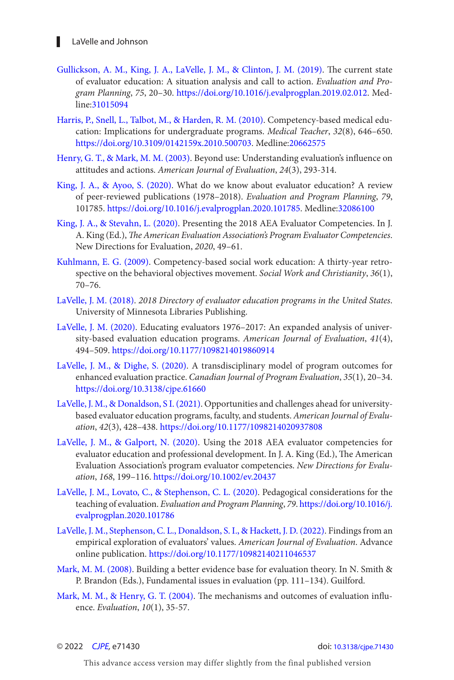- <span id="page-15-0"></span>[Gullickson, A. M., King, J. A., LaVelle, J. M., & Clinton, J. M. \(2019\)](#page-1-0). The current state of evaluator education: A situation analysis and call to action. *Evaluation and Program Planning*, *75*, 20–30. [https://doi.org/10.1016/j.evalprogplan.2019.02.012.](https://doi.org/10.1016/j.evalprogplan.2019.02.012) Medline:[31015094](https://preview.ncbi.nlm.nih.gov/pubmed/?term=31015094)
- [Harris, P., Snell, L., Talbot, M., & Harden, R. M. \(2010\)](#page-6-0). Competency-based medical education: Implications for undergraduate programs. *Medical Teacher*, *32*(8), 646–650. <https://doi.org/10.3109/0142159x.2010.500703>. Medline:[20662575](https://preview.ncbi.nlm.nih.gov/pubmed/?term=20662575)
- [Henry, G. T., & Mark, M. M. \(2003\)](#page-5-0). Beyond use: Understanding evaluation's influence on attitudes and actions. *American Journal of Evaluation*, *24*(3), 293-314.
- [King, J. A., & Ayoo, S. \(2020\)](#page-1-0). What do we know about evaluator education? A review of peer-reviewed publications (1978–2018). *Evaluation and Program Planning*, *79*, 101785.<https://doi.org/10.1016/j.evalprogplan.2020.101785>. Medline:[32086100](https://preview.ncbi.nlm.nih.gov/pubmed/?term=32086100)
- [King, J. A., & Stevahn, L. \(2020\)](#page-1-0). Presenting the 2018 AEA Evaluator Competencies. In J. A. King (Ed.), *The American Evaluation Association's Program Evaluator Competencies*. New Directions for Evaluation, *2020*, 49–61.
- [Kuhlmann, E. G. \(2009\)](#page-6-0). Competency-based social work education: A thirty-year retrospective on the behavioral objectives movement. *Social Work and Christianity*, *36*(1), 70–76.
- [LaVelle, J. M. \(2018\).](#page-1-0) *2018 Directory of evaluator education programs in the United States*. University of Minnesota Libraries Publishing.
- [LaVelle, J. M. \(2020\)](#page-2-0). Educating evaluators 1976–2017: An expanded analysis of university-based evaluation education programs. *American Journal of Evaluation*, *41*(4), 494–509. <https://doi.org/10.1177/1098214019860914>
- [LaVelle, J. M., & Dighe, S. \(2020\)](#page-7-0). A transdisciplinary model of program outcomes for enhanced evaluation practice. *Canadian Journal of Program Evaluation*, *35*(1), 20–34. <https://doi.org/10.3138/cjpe.61660>
- [LaVelle, J. M., & Donaldson, S I. \(2021\).](#page-1-0) Opportunities and challenges ahead for universitybased evaluator education programs, faculty, and students. *American Journal of Evaluation*, *42*(3), 428–438.<https://doi.org/10.1177/1098214020937808>
- [LaVelle, J. M., & Galport, N. \(2020\)](#page-6-0). Using the 2018 AEA evaluator competencies for evaluator education and professional development. In J. A. King (Ed.), The American Evaluation Association's program evaluator competencies. *New Directions for Evaluation*, *168*, 199–116.<https://doi.org/10.1002/ev.20437>
- [LaVelle, J. M., Lovato, C., & Stephenson, C. L. \(2020\)](#page-4-0). Pedagogical considerations for the teaching of evaluation. *Evaluation and Program Planning*, *79*. [https://doi.org/10.1016/j.](https://doi.org/10.1016/j.evalprogplan.2020.101786) [evalprogplan.2020.101786](https://doi.org/10.1016/j.evalprogplan.2020.101786)
- [LaVelle, J. M., Stephenson, C. L., Donaldson, S. I., & Hackett, J. D. \(2022\)](#page-5-0). Findings from an empirical exploration of evaluators' values. *American Journal of Evaluation*. Advance online publication. <https://doi.org/10.1177/10982140211046537>
- [Mark, M. M. \(2008\)](#page-5-0). Building a better evidence base for evaluation theory. In N. Smith & P. Brandon (Eds.), Fundamental issues in evaluation (pp. 111–134). Guilford.
- [Mark, M. M., & Henry, G. T. \(2004\).](#page-5-0) The mechanisms and outcomes of evaluation influence. *Evaluation*, *10*(1), 35-57.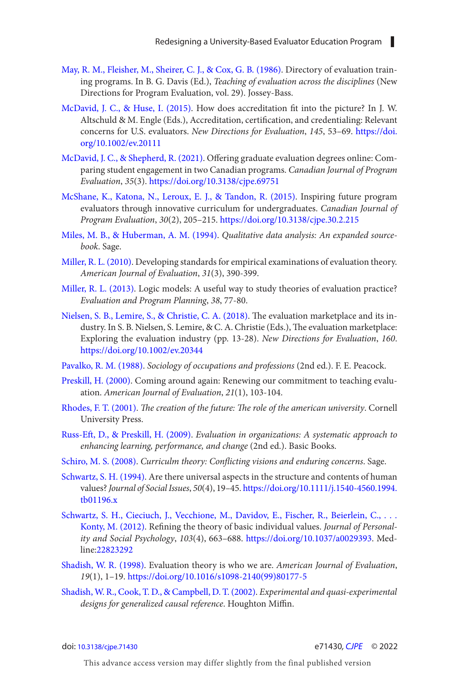- <span id="page-16-0"></span>[May, R. M., Fleisher, M., Sheirer, C. J., & Cox, G. B. \(1986\)](#page-1-0). Directory of evaluation training programs. In B. G. Davis (Ed.), *Teaching of evaluation across the disciplines* (New Directions for Program Evaluation, vol. 29). Jossey-Bass.
- [McDavid, J. C., & Huse, I. \(2015\)](#page-12-0). How does accreditation fit into the picture? In J. W. Altschuld & M. Engle (Eds.), Accreditation, certification, and credentialing: Relevant concerns for U.S. evaluators. *New Directions for Evaluation*, *145*, 53–69. [https://doi.](https://doi.org/10.1002/ev.20111) [org/10.1002/ev.20111](https://doi.org/10.1002/ev.20111)
- [McDavid, J. C., & Shepherd, R. \(2021\)](#page-2-0). Offering graduate evaluation degrees online: Comparing student engagement in two Canadian programs. *Canadian Journal of Program Evaluation*, *35*(3). <https://doi.org/10.3138/cjpe.69751>
- [McShane, K., Katona, N., Leroux, E. J., & Tandon, R. \(2015\)](#page-11-0). Inspiring future program evaluators through innovative curriculum for undergraduates. *Canadian Journal of Program Evaluation*, *30*(2), 205–215.<https://doi.org/10.3138/cjpe.30.2.215>
- [Miles, M. B., & Huberman, A. M. \(1994\).](#page-5-0) *Qualitative data analysis: An expanded sourcebook*. Sage.
- [Miller, R. L. \(2010\)](#page-5-0). Developing standards for empirical examinations of evaluation theory. *American Journal of Evaluation*, *31*(3), 390-399.
- [Miller, R. L. \(2013\)](#page-9-0). Logic models: A useful way to study theories of evaluation practice? *Evaluation and Program Planning*, *38*, 77-80.
- [Nielsen, S. B., Lemire, S., & Christie, C. A. \(2018\).](#page-11-0) The evaluation marketplace and its industry. In S. B. Nielsen, S. Lemire, & C. A. Christie (Eds.), The evaluation marketplace: Exploring the evaluation industry (pp. 13-28). *New Directions for Evaluation*, *160*. <https://doi.org/10.1002/ev.20344>
- [Pavalko, R. M. \(1988\).](#page-2-0) *Sociology of occupations and professions* (2nd ed.). F. E. Peacock.
- [Preskill, H. \(2000\)](#page-9-0). Coming around again: Renewing our commitment to teaching evaluation. *American Journal of Evaluation*, *21*(1), 103-104.
- [Rhodes, F. T. \(2001\)](#page-2-0). *The creation of the future: The role of the american university*. Cornell University Press.
- [Russ-Eft, D., & Preskill, H. \(2009\)](#page-13-0). *Evaluation in organizations: A systematic approach to enhancing learning, performance, and change* (2nd ed.). Basic Books.
- [Schiro, M. S. \(2008\)](#page-2-0). *Curriculm theory: Conflicting visions and enduring concerns*. Sage.
- [Schwartz, S. H. \(1994\).](#page-9-0) Are there universal aspects in the structure and contents of human values? *Journal of Social Issues*, *50*(4), 19–45. [https://doi.org/10.1111/j.1540-4560.1994.](https://doi.org/10.1111/j.1540-4560.1994.tb01196.x) [tb01196.x](https://doi.org/10.1111/j.1540-4560.1994.tb01196.x)
- Schwartz, S. H., Cieciuch, J., Vecchione, M., Davidov, E., Fischer, R., Beierlein, C., ... [Konty, M. \(2012\)](#page-9-0). Refining the theory of basic individual values. *Journal of Personality and Social Psychology*, *103*(4), 663–688. [https://doi.org/10.1037/a0029393.](https://doi.org/10.1037/a0029393) Med-line:[22823292](https://preview.ncbi.nlm.nih.gov/pubmed/?term=22823292)
- [Shadish, W. R. \(1998\)](#page-7-0). Evaluation theory is who we are. *American Journal of Evaluation*, *19*(1), 1–19. [https://doi.org/10.1016/s1098-2140\(99\)80177-5](https://doi.org/10.1016/s1098-2140(99)80177-5)
- [Shadish, W. R., Cook, T. D., & Campbell, D. T. \(2002\)](#page-5-0). *Experimental and quasi-experimental designs for generalized causal reference*. Houghton Miffin.

doi: [10.3138/cjpe.71430](https://doi.org/10.3138/cjpe.71430) e71430*, [CJPE](https://www.utpjournals.press/loi/cjpe)* © 2022